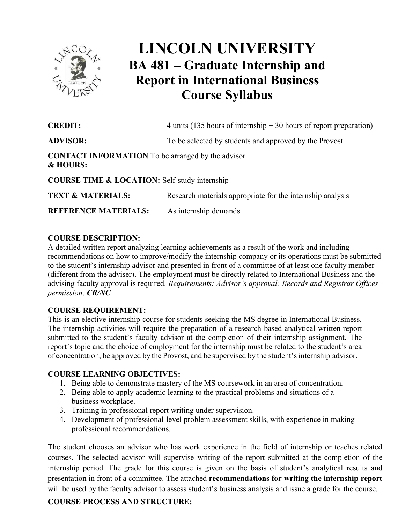

# **LINCOLN UNIVERSITY BA 481 – Graduate Internship and Report in International Business Course Syllabus**

| <b>CREDIT:</b>                                                                  | 4 units (135 hours of internship $+30$ hours of report preparation) |
|---------------------------------------------------------------------------------|---------------------------------------------------------------------|
| <b>ADVISOR:</b>                                                                 | To be selected by students and approved by the Provost              |
| <b>CONTACT INFORMATION</b> To be arranged by the advisor<br><b>&amp; HOURS:</b> |                                                                     |
| <b>COURSE TIME &amp; LOCATION:</b> Self-study internship                        |                                                                     |
| <b>TEXT &amp; MATERIALS:</b>                                                    | Research materials appropriate for the internship analysis          |
| <b>REFERENCE MATERIALS:</b>                                                     | As internship demands                                               |

# **COURSE DESCRIPTION:**

 A detailed written report analyzing learning achievements as a result of the work and including recommendations on how to improve/modify the internship company or its operations must be submitted to the student's internship advisor and presented in front of a committee of at least one faculty member (different from the adviser). The employment must be directly related to International Business and the advising faculty approval is required. *Requirements: Advisor's approval; Records and Registrar Offices permission*. *CR/NC*

## **COURSE REQUIREMENT:**

This is an elective internship course for students seeking the MS degree in International Business. The internship activities will require the preparation of a research based analytical written report submitted to the student's faculty advisor at the completion of their internship assignment. The report's topic and the choice of employment for the internship must be related to the student's area of concentration, be approved by the Provost, and be supervised by the student'sinternship advisor.

#### **COURSE LEARNING OBJECTIVES:**

- 1. Being able to demonstrate mastery of the MS coursework in an area of concentration.
- 2. Being able to apply academic learning to the practical problems and situations of a business workplace.
- 3. Training in professional report writing under supervision.
- 4. Development of professional-level problem assessment skills, with experience in making professional recommendations.

The student chooses an advisor who has work experience in the field of internship or teaches related courses. The selected advisor will supervise writing of the report submitted at the completion of the internship period. The grade for this course is given on the basis of student's analytical results and presentation in front of a committee. The attached **recommendations for writing the internship report** will be used by the faculty advisor to assess student's business analysis and issue a grade for the course.

# **COURSE PROCESS AND STRUCTURE:**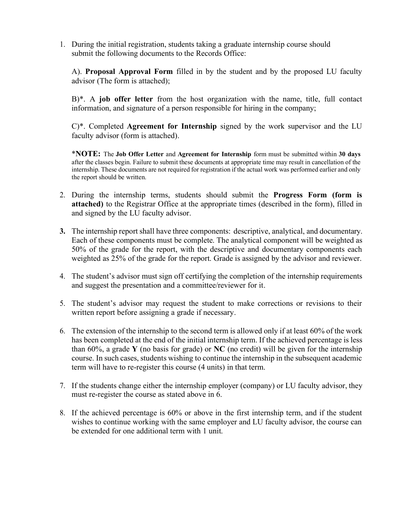1. During the initial registration, students taking a graduate internship course should submit the following documents to the Records Office:

A). **Proposal Approval Form** filled in by the student and by the proposed LU faculty advisor (The form is attached);

B)\*. A **job offer letter** from the host organization with the name, title, full contact information, and signature of a person responsible for hiring in the company;

C)\*. Completed **Agreement for Internship** signed by the work supervisor and the LU faculty advisor (form is attached).

\***NOTE:** The **Job Offer Letter** and **Agreement for Internship** form must be submitted within **30 days**  after the classes begin. Failure to submit these documents at appropriate time may result in cancellation of the internship. These documents are not required for registration if the actual work was performed earlier and only the report should be written.

- 2. During the internship terms, students should submit the **Progress Form (form is attached)** to the Registrar Office at the appropriate times (described in the form), filled in and signed by the LU faculty advisor.
- **3.** The internship report shall have three components: descriptive, analytical, and documentary. Each of these components must be complete. The analytical component will be weighted as 50% of the grade for the report, with the descriptive and documentary components each weighted as 25% of the grade for the report. Grade is assigned by the advisor and reviewer.
- 4. The student's advisor must sign off certifying the completion of the internship requirements and suggest the presentation and a committee/reviewer for it.
- 5. The student's advisor may request the student to make corrections or revisions to their written report before assigning a grade if necessary.
- 6. The extension of the internship to the second term is allowed only if at least 60% of the work has been completed at the end of the initial internship term. If the achieved percentage is less than 60%, a grade **Y** (no basis for grade) or **NC** (no credit) will be given for the internship course. In such cases, students wishing to continue the internship in the subsequent academic term will have to re-register this course (4 units) in that term.
- 7. If the students change either the internship employer (company) or LU faculty advisor, they must re-register the course as stated above in 6.
- 8. If the achieved percentage is 60% or above in the first internship term, and if the student wishes to continue working with the same employer and LU faculty advisor, the course can be extended for one additional term with 1 unit.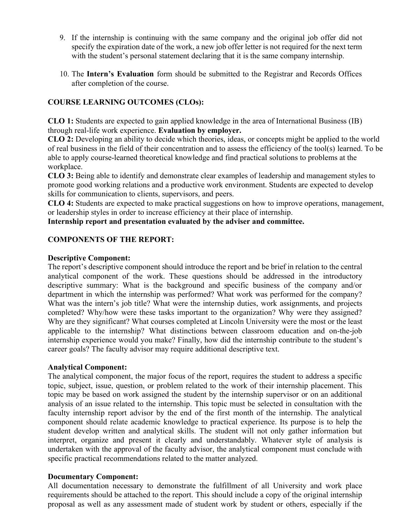- 9. If the internship is continuing with the same company and the original job offer did not specify the expiration date of the work, a new job offer letter is not required for the next term with the student's personal statement declaring that it is the same company internship.
- 10. The **Intern's Evaluation** form should be submitted to the Registrar and Records Offices after completion of the course.

# **COURSE LEARNING OUTCOMES (CLOs):**

 **CLO 1:** Students are expected to gain applied knowledge in the area of International Business (IB) through real-life work experience. **Evaluation by employer.**

 **CLO 2:** Developing an ability to decide which theories, ideas, or concepts might be applied to the world of real business in the field of their concentration and to assess the efficiency of the tool(s) learned. To be able to apply course-learned theoretical knowledge and find practical solutions to problems at the workplace.

 **CLO 3:** Being able to identify and demonstrate clear examples of leadership and management styles to promote good working relations and a productive work environment. Students are expected to develop skills for communication to clients, supervisors, and peers.

 **CLO 4:** Students are expected to make practical suggestions on how to improve operations, management, or leadership styles in order to increase efficiency at their place of internship.

#### **Internship report and presentation evaluated by the adviser and committee.**

## **COMPONENTS OF THE REPORT:**

#### **Descriptive Component:**

The report's descriptive component should introduce the report and be brief in relation to the central analytical component of the work. These questions should be addressed in the introductory descriptive summary: What is the background and specific business of the company and/or department in which the internship was performed? What work was performed for the company? What was the intern's job title? What were the internship duties, work assignments, and projects completed? Why/how were these tasks important to the organization? Why were they assigned? Why are they significant? What courses completed at Lincoln University were the most or the least applicable to the internship? What distinctions between classroom education and on-the-job internship experience would you make? Finally, how did the internship contribute to the student's career goals? The faculty advisor may require additional descriptive text.

#### **Analytical Component:**

The analytical component, the major focus of the report, requires the student to address a specific topic, subject, issue, question, or problem related to the work of their internship placement. This topic may be based on work assigned the student by the internship supervisor or on an additional analysis of an issue related to the internship. This topic must be selected in consultation with the faculty internship report advisor by the end of the first month of the internship. The analytical component should relate academic knowledge to practical experience. Its purpose is to help the student develop written and analytical skills. The student will not only gather information but interpret, organize and present it clearly and understandably. Whatever style of analysis is undertaken with the approval of the faculty advisor, the analytical component must conclude with specific practical recommendations related to the matter analyzed.

#### **Documentary Component:**

All documentation necessary to demonstrate the fulfillment of all University and work place requirements should be attached to the report. This should include a copy of the original internship proposal as well as any assessment made of student work by student or others, especially if the